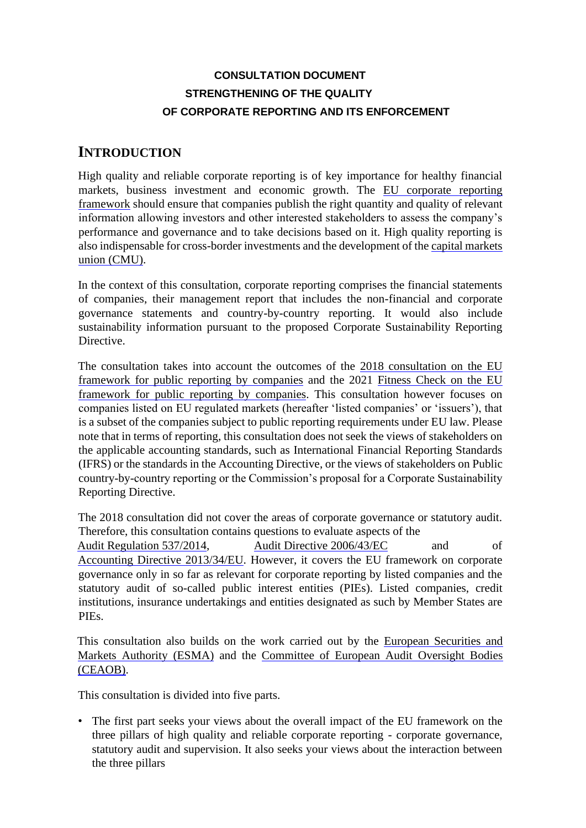# **CONSULTATION DOCUMENT STRENGTHENING OF THE QUALITY OF CORPORATE REPORTING AND ITS ENFORCEMENT**

# **INTRODUCTION**

High quality and reliable corporate reporting is of key importance for healthy financial markets, business investment and economic growth. The [EU corporate](https://ec.europa.eu/info/business-economy-euro/company-reporting-and-auditing_en) reportin[g](https://ec.europa.eu/info/business-economy-euro/company-reporting-and-auditing_en) [framework](https://ec.europa.eu/info/business-economy-euro/company-reporting-and-auditing_en) [s](https://ec.europa.eu/info/business-economy-euro/company-reporting-and-auditing_en)hould ensure that companies publish the right quantity and quality of relevant information allowing investors and other interested stakeholders to assess the company's performance and governance and to take decisions based on it. High quality reporting is also indispensable for cross-border investments and the development of the [capital markets](https://ec.europa.eu/info/business-economy-euro/growth-and-investment/capital-markets-union_en)  [union \(CMU\).](https://ec.europa.eu/info/business-economy-euro/growth-and-investment/capital-markets-union_en)

In the context of this consultation, corporate reporting comprises the financial statements of companies, their management report that includes the non-financial and corporate governance statements and country-by-country reporting. It would also include sustainability information pursuant to the proposed Corporate Sustainability Reporting Directive.

The consultation takes into account the outcomes of the [2018](https://ec.europa.eu/info/consultations/finance-2018-companies-public-reporting_en) [consultation on](https://ec.europa.eu/info/consultations/finance-2018-companies-public-reporting_en) the E[U](https://ec.europa.eu/info/consultations/finance-2018-companies-public-reporting_en) [framework for public reporting by companies](https://ec.europa.eu/info/consultations/finance-2018-companies-public-reporting_en) and the 2021 [Fitness Check on the EU](https://eur-lex.europa.eu/legal-content/EN/TXT/?uri=CELEX:52021SC0081) [framework for public reporting by companies.](https://eur-lex.europa.eu/legal-content/EN/TXT/?uri=CELEX:52021SC0081) This consultation however focuses on companies listed on EU regulated markets (hereafter 'listed companies' or 'issuers'), that is a subset of the companies subject to public reporting requirements under EU law. Please note that in terms of reporting, this consultation does not seek the views of stakeholders on the applicable accounting standards, such as International Financial Reporting Standards (IFRS) or the standards in the Accounting Directive, or the views of stakeholders on Public country-by-country reporting or the Commission's proposal for a Corporate Sustainability Reporting Directive.

The 2018 consultation did not cover the areas of corporate governance or statutory audit. Therefore, this consultation contains questions to evaluate aspects of the

[Audit](http://eur-lex.europa.eu/legal-content/EN/TXT/?uri=CELEX:32006L0043) [Regulation](https://eur-lex.europa.eu/legal-content/EN/TXT/?uri=CELEX:32014R0537) [537/2014,](https://eur-lex.europa.eu/legal-content/EN/TXT/?uri=CELEX:32014R0537) Audit [Directive](http://eur-lex.europa.eu/legal-content/EN/TXT/?uri=CELEX:32006L0043) [2006/43/EC](http://eur-lex.europa.eu/legal-content/EN/TXT/?uri=CELEX:32006L0043) and of [Accounting](https://eur-lex.europa.eu/legal-content/EN/TXT/?uri=CELEX:32013L0034) [Directive](https://eur-lex.europa.eu/legal-content/EN/TXT/?uri=CELEX:32013L0034) [2013/34/EU.](https://eur-lex.europa.eu/legal-content/EN/TXT/?uri=CELEX:32013L0034) However, it covers the EU framework on corporate governance only in so far as relevant for corporate reporting by listed companies and the statutory audit of so-called public interest entities (PIEs). Listed companies, credit institutions, insurance undertakings and entities designated as such by Member States are PIEs.

This consultation also builds on the work carried out by the [European Securities and](https://www.esma.europa.eu/) [Markets Authority \(ESMA\)](https://www.esma.europa.eu/) and the [Committee of European Audit Oversight Bodies](https://ec.europa.eu/info/ceaob) [\(CEAOB\).](https://ec.europa.eu/info/ceaob)

This consultation is divided into five parts.

• The first part seeks your views about the overall impact of the EU framework on the three pillars of high quality and reliable corporate reporting - corporate governance, statutory audit and supervision. It also seeks your views about the interaction between the three pillars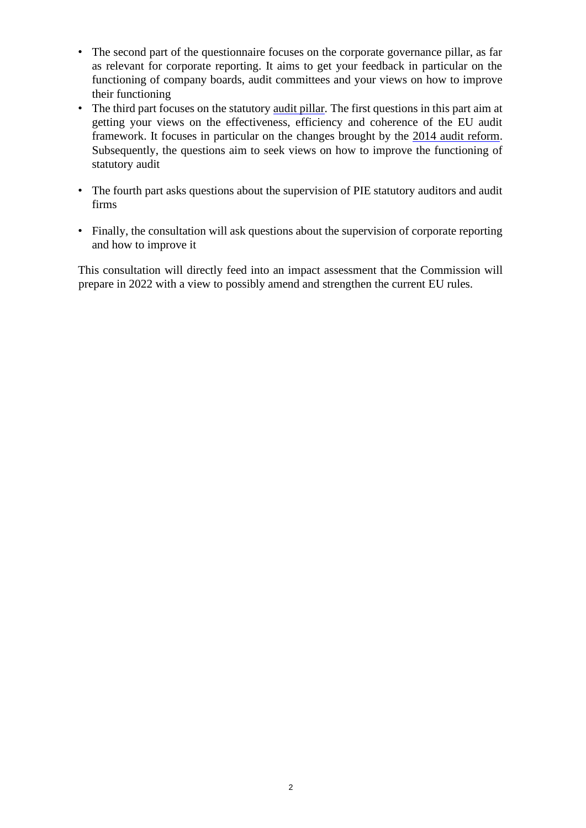- The second part of the questionnaire focuses on the corporate governance pillar, as far as relevant for corporate reporting. It aims to get your feedback in particular on the functioning of company boards, audit committees and your views on how to improve their functioning
- The third part focuses on the statutory [audit pillar.](https://ec.europa.eu/info/business-economy-euro/company-reporting-and-auditing/auditing-companies-financial-statements_en) The first questions in this part aim at getting your views on the effectiveness, efficiency and coherence of the EU audit framework. It focuses in particular on the changes brought by the [2014 audit reform.](https://ec.europa.eu/info/business-economy-euro/company-reporting-and-auditing/auditing-companies-financial-statements_en#audit-reform-in-the-eu) Subsequently, the questions aim to seek views on how to improve the functioning of statutory audit
- The fourth part asks questions about the supervision of PIE statutory auditors and audit firms
- Finally, the consultation will ask questions about the supervision of corporate reporting and how to improve it

This consultation will directly feed into an impact assessment that the Commission will prepare in 2022 with a view to possibly amend and strengthen the current EU rules.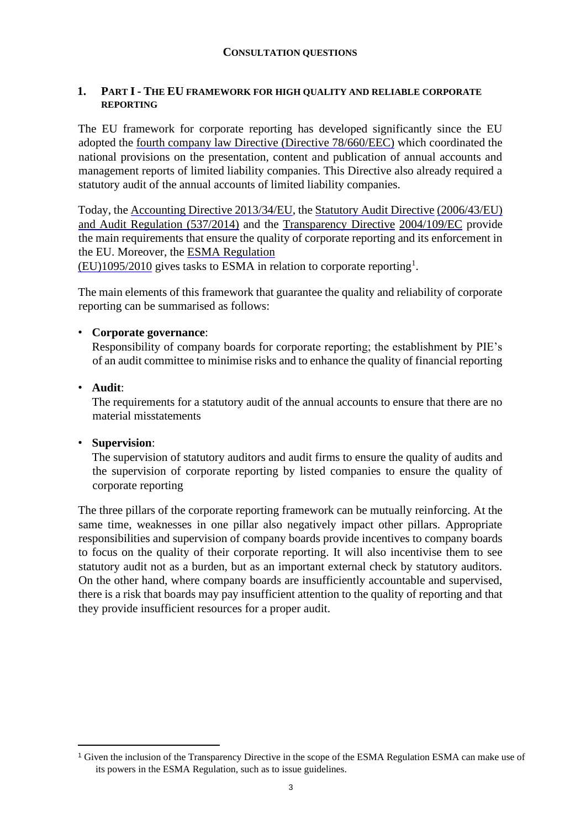#### **CONSULTATION QUESTIONS**

#### **1. PART I - THE EU FRAMEWORK FOR HIGH QUALITY AND RELIABLE CORPORATE REPORTING**

The EU framework for corporate reporting has developed significantly since the EU adopted the [fourth company law Directive \(Directive 78/660/EEC\)](https://eur-lex.europa.eu/legal-content/EN/TXT/?uri=CELEX:31978L0660) [w](https://eur-lex.europa.eu/legal-content/EN/TXT/?uri=CELEX:31978L0660)hich coordinated the national provisions on the presentation, content and publication of annual accounts and management reports of limited liability companies. This Directive also already required a statutory audit of the annual accounts of limited liability companies.

Today, the [Accounting Directive 2013/34/EU,](https://eur-lex.europa.eu/legal-content/EN/TXT/?uri=CELEX:32013L0034) the [Statutory Audit Directive](https://eur-lex.europa.eu/legal-content/EN/TXT/?uri=CELEX:32006L0043) [\(2006/43/EU\)](https://eur-lex.europa.eu/legal-content/EN/TXT/?uri=CELEX:32006L0043) and [Audit](https://eur-lex.europa.eu/legal-content/EN/TXT/?uri=CELEX:32014R0537) [Regulation \(537/2014\)](https://eur-lex.europa.eu/legal-content/EN/TXT/?uri=CELEX:32014R0537) and the [Transparency Directive](https://eur-lex.europa.eu/legal-content/EN/TXT/?uri=CELEX:32004L0109) [2004/109/EC](https://eur-lex.europa.eu/legal-content/EN/TXT/?uri=CELEX:32004L0109) provide the main requirements that ensure the quality of corporate reporting and its enforcement in the EU. Moreover, the [ESMA](https://eur-lex.europa.eu/legal-content/EN/TXT/?uri=CELEX:32010R1095) [Regulation](https://eur-lex.europa.eu/legal-content/EN/TXT/?uri=CELEX:32010R1095)

 $(EU)$ 1095/2010 gives tasks to ESMA in relation to corporate reporting<sup>1</sup>.

The main elements of this framework that guarantee the quality and reliability of corporate reporting can be summarised as follows:

# • **Corporate governance**:

Responsibility of company boards for corporate reporting; the establishment by PIE's of an audit committee to minimise risks and to enhance the quality of financial reporting

# • **Audit**:

The requirements for a statutory audit of the annual accounts to ensure that there are no material misstatements

# • **Supervision**:

The supervision of statutory auditors and audit firms to ensure the quality of audits and the supervision of corporate reporting by listed companies to ensure the quality of corporate reporting

The three pillars of the corporate reporting framework can be mutually reinforcing. At the same time, weaknesses in one pillar also negatively impact other pillars. Appropriate responsibilities and supervision of company boards provide incentives to company boards to focus on the quality of their corporate reporting. It will also incentivise them to see statutory audit not as a burden, but as an important external check by statutory auditors. On the other hand, where company boards are insufficiently accountable and supervised, there is a risk that boards may pay insufficient attention to the quality of reporting and that they provide insufficient resources for a proper audit.

<sup>1</sup> Given the inclusion of the Transparency Directive in the scope of the ESMA Regulation ESMA can make use of its powers in the ESMA Regulation, such as to issue guidelines.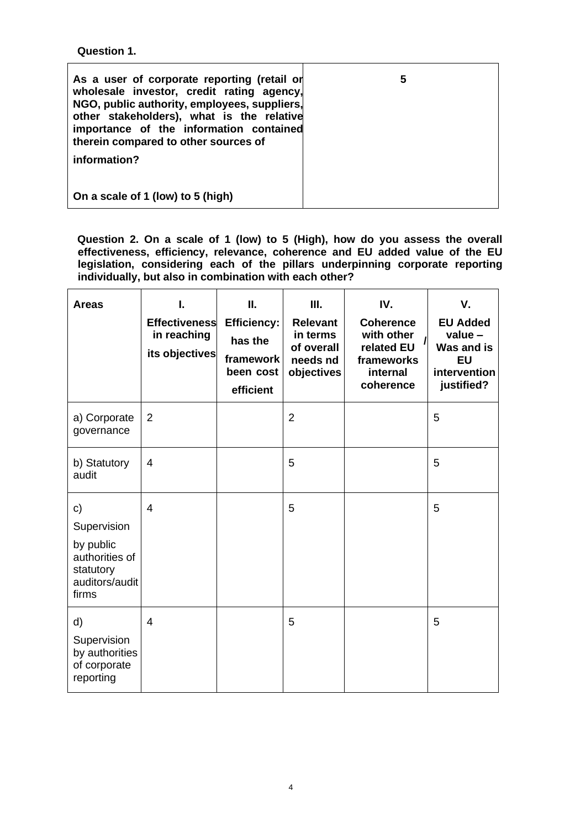**Question 1.** 

| As a user of corporate reporting (retail or<br>wholesale investor, credit rating agency,<br>NGO, public authority, employees, suppliers,<br>other stakeholders), what is the relative<br>importance of the information contained<br>therein compared to other sources of<br>information? | 5 |
|------------------------------------------------------------------------------------------------------------------------------------------------------------------------------------------------------------------------------------------------------------------------------------------|---|
| On a scale of 1 (low) to 5 (high)                                                                                                                                                                                                                                                        |   |

**Question 2. On a scale of 1 (low) to 5 (High), how do you assess the overall effectiveness, efficiency, relevance, coherence and EU added value of the EU legislation, considering each of the pillars underpinning corporate reporting individually, but also in combination with each other?**

| <b>Areas</b>                                                                             | L<br><b>Effectiveness</b><br>in reaching<br>its objectives | Ш.<br><b>Efficiency:</b><br>has the<br>framework<br>been cost<br>efficient | Ш.<br><b>Relevant</b><br>in terms<br>of overall<br>needs nd<br>objectives | IV.<br><b>Coherence</b><br>with other<br>related EU<br>frameworks<br>internal<br>coherence | V.<br><b>EU Added</b><br>value-<br>Was and is<br><b>EU</b><br>intervention<br>justified? |
|------------------------------------------------------------------------------------------|------------------------------------------------------------|----------------------------------------------------------------------------|---------------------------------------------------------------------------|--------------------------------------------------------------------------------------------|------------------------------------------------------------------------------------------|
| a) Corporate<br>governance                                                               | $\overline{2}$                                             |                                                                            | $\overline{2}$                                                            |                                                                                            | 5                                                                                        |
| b) Statutory<br>audit                                                                    | 4                                                          |                                                                            | 5                                                                         |                                                                                            | 5                                                                                        |
| c)<br>Supervision<br>by public<br>authorities of<br>statutory<br>auditors/audit<br>firms | $\overline{4}$                                             |                                                                            | 5                                                                         |                                                                                            | 5                                                                                        |
| d)<br>Supervision<br>by authorities<br>of corporate<br>reporting                         | $\overline{4}$                                             |                                                                            | 5                                                                         |                                                                                            | 5                                                                                        |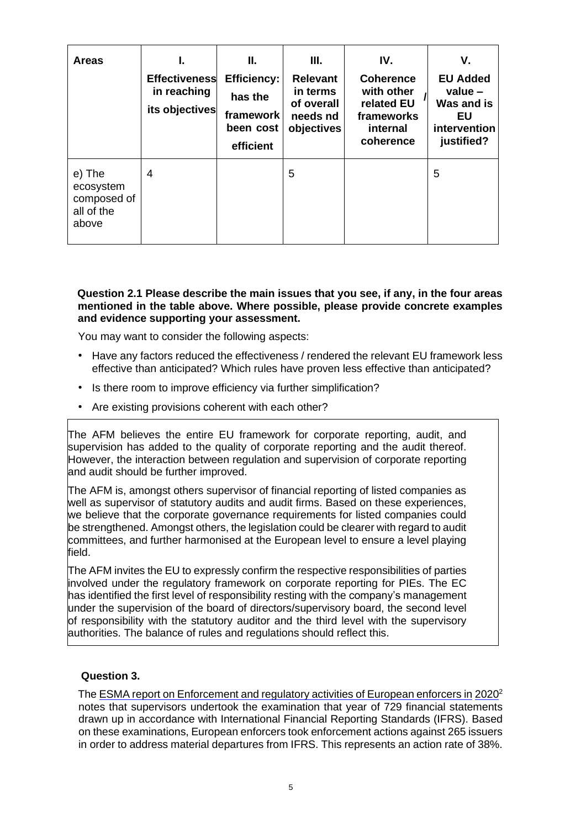| <b>Areas</b>                                              | <b>Effectiveness</b><br>in reaching<br>its objectives | Ш.<br><b>Efficiency:</b><br>has the<br>framework<br>been cost<br>efficient | III.<br><b>Relevant</b><br>in terms<br>of overall<br>needs nd<br>objectives | IV.<br><b>Coherence</b><br>with other<br>related EU<br>frameworks<br>internal<br>coherence | V.<br><b>EU Added</b><br>value $-$<br>Was and is<br>EU<br>intervention<br>justified? |
|-----------------------------------------------------------|-------------------------------------------------------|----------------------------------------------------------------------------|-----------------------------------------------------------------------------|--------------------------------------------------------------------------------------------|--------------------------------------------------------------------------------------|
| e) The<br>ecosystem<br>composed of<br>all of the<br>above | 4                                                     |                                                                            | 5                                                                           |                                                                                            | 5                                                                                    |

#### **Question 2.1 Please describe the main issues that you see, if any, in the four areas mentioned in the table above. Where possible, please provide concrete examples and evidence supporting your assessment.**

You may want to consider the following aspects:

- Have any factors reduced the effectiveness / rendered the relevant EU framework less effective than anticipated? Which rules have proven less effective than anticipated?
- Is there room to improve efficiency via further simplification?
- Are existing provisions coherent with each other?

The AFM believes the entire EU framework for corporate reporting, audit, and supervision has added to the quality of corporate reporting and the audit thereof. However, the interaction between regulation and supervision of corporate reporting and audit should be further improved.

The AFM is, amongst others supervisor of financial reporting of listed companies as well as supervisor of statutory audits and audit firms. Based on these experiences, we believe that the corporate governance requirements for listed companies could be strengthened. Amongst others, the legislation could be clearer with regard to audit committees, and further harmonised at the European level to ensure a level playing field.

The AFM invites the EU to expressly confirm the respective responsibilities of parties involved under the regulatory framework on corporate reporting for PIEs. The EC has identified the first level of responsibility resting with the company's management under the supervision of the board of directors/supervisory board, the second level of responsibility with the statutory auditor and the third level with the supervisory authorities. The balance of rules and regulations should reflect this.

#### **Question 3.**

Th[e ESMA report on Enforcement and regulatory activities of European enforcers in](https://www.esma.europa.eu/sites/default/files/library/esma32-63-1101_enforcers_2020_activity_report.pdf) [2020](https://www.esma.europa.eu/sites/default/files/library/esma32-63-1101_enforcers_2020_activity_repor%20t.pdf)<sup>[2](https://www.esma.europa.eu/sites/default/files/library/esma32-63-1101_enforcers_2020_activity_report.pdf)</sup> notes that supervisors undertook the examination that year of 729 financial statements drawn up in accordance with International Financial Reporting Standards (IFRS). Based on these examinations, European enforcers took enforcement actions against 265 issuers in order to address material departures from IFRS. This represents an action rate of 38%.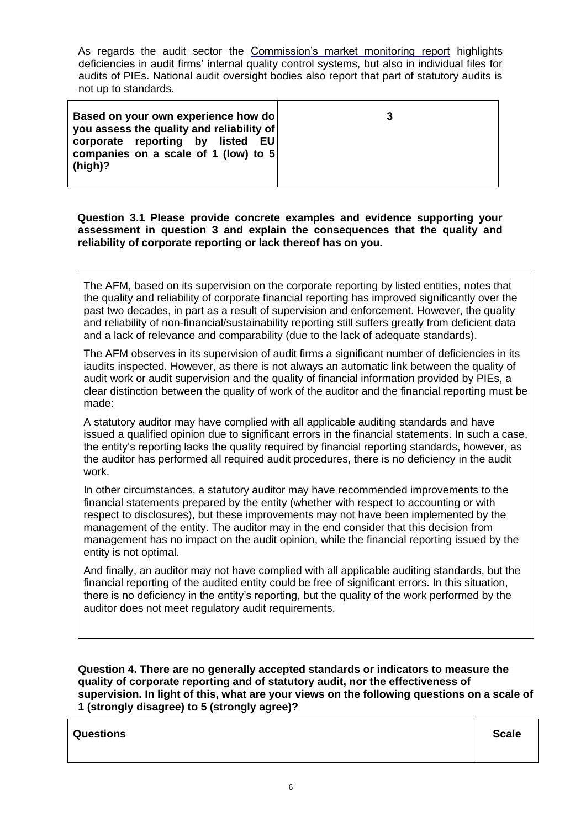As regards the audit sector the [Commission's market monitoring report](https://eur-lex.europa.eu/legal-content/EN/TXT/?uri=CELEX:52021DC0029) highlights deficiencies in audit firms' internal quality control systems, but also in individual files for audits of PIEs. National audit oversight bodies also report that part of statutory audits is not up to standards.

| Based on your own experience how do<br>you assess the quality and reliability of<br>corporate reporting by listed EU<br>companies on a scale of 1 (low) to 5<br>$(high)$ ? | 3 |
|----------------------------------------------------------------------------------------------------------------------------------------------------------------------------|---|
|----------------------------------------------------------------------------------------------------------------------------------------------------------------------------|---|

**Question 3.1 Please provide concrete examples and evidence supporting your assessment in question 3 and explain the consequences that the quality and reliability of corporate reporting or lack thereof has on you.**

The AFM, based on its supervision on the corporate reporting by listed entities, notes that the quality and reliability of corporate financial reporting has improved significantly over the past two decades, in part as a result of supervision and enforcement. However, the quality and reliability of non-financial/sustainability reporting still suffers greatly from deficient data and a lack of relevance and comparability (due to the lack of adequate standards).

The AFM observes in its supervision of audit firms a significant number of deficiencies in its iaudits inspected. However, as there is not always an automatic link between the quality of audit work or audit supervision and the quality of financial information provided by PIEs, a clear distinction between the quality of work of the auditor and the financial reporting must be made:

A statutory auditor may have complied with all applicable auditing standards and have issued a qualified opinion due to significant errors in the financial statements. In such a case, the entity's reporting lacks the quality required by financial reporting standards, however, as the auditor has performed all required audit procedures, there is no deficiency in the audit work.

In other circumstances, a statutory auditor may have recommended improvements to the financial statements prepared by the entity (whether with respect to accounting or with respect to disclosures), but these improvements may not have been implemented by the management of the entity. The auditor may in the end consider that this decision from management has no impact on the audit opinion, while the financial reporting issued by the entity is not optimal.

And finally, an auditor may not have complied with all applicable auditing standards, but the financial reporting of the audited entity could be free of significant errors. In this situation, there is no deficiency in the entity's reporting, but the quality of the work performed by the auditor does not meet regulatory audit requirements.

**Question 4. There are no generally accepted standards or indicators to measure the quality of corporate reporting and of statutory audit, nor the effectiveness of supervision. In light of this, what are your views on the following questions on a scale of 1 (strongly disagree) to 5 (strongly agree)?**

**Questions Scale Contract Contract Contract Contract Contract Contract Contract Contract Contract Contract Contract Contract Contract Contract Contract Contract Contract Contract Contract Contract Contract Contract Contr**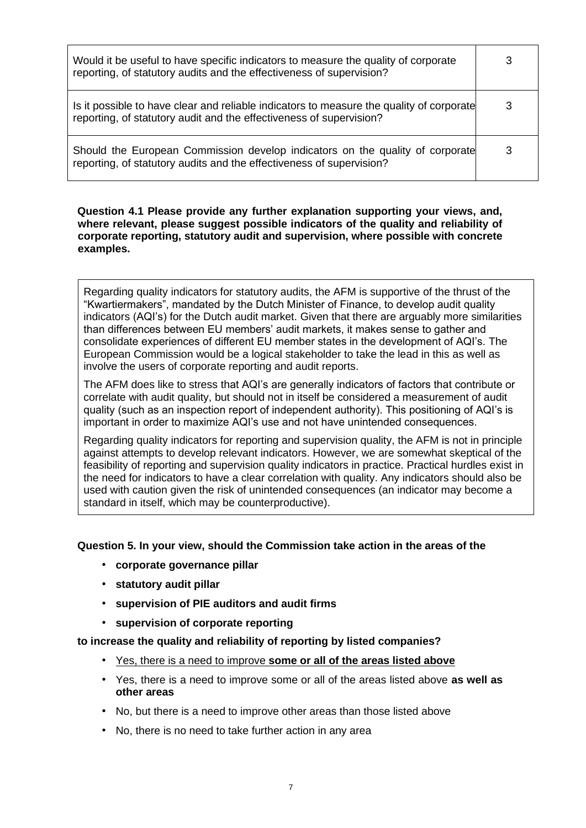| Would it be useful to have specific indicators to measure the quality of corporate<br>reporting, of statutory audits and the effectiveness of supervision?      |   |
|-----------------------------------------------------------------------------------------------------------------------------------------------------------------|---|
| Is it possible to have clear and reliable indicators to measure the quality of corporate<br>reporting, of statutory audit and the effectiveness of supervision? | 3 |
| Should the European Commission develop indicators on the quality of corporate<br>reporting, of statutory audits and the effectiveness of supervision?           |   |

**Question 4.1 Please provide any further explanation supporting your views, and, where relevant, please suggest possible indicators of the quality and reliability of corporate reporting, statutory audit and supervision, where possible with concrete examples.** 

Regarding quality indicators for statutory audits, the AFM is supportive of the thrust of the "Kwartiermakers", mandated by the Dutch Minister of Finance, to develop audit quality indicators (AQI's) for the Dutch audit market. Given that there are arguably more similarities than differences between EU members' audit markets, it makes sense to gather and consolidate experiences of different EU member states in the development of AQI's. The European Commission would be a logical stakeholder to take the lead in this as well as involve the users of corporate reporting and audit reports.

The AFM does like to stress that AQI's are generally indicators of factors that contribute or correlate with audit quality, but should not in itself be considered a measurement of audit quality (such as an inspection report of independent authority). This positioning of AQI's is important in order to maximize AQI's use and not have unintended consequences.

Regarding quality indicators for reporting and supervision quality, the AFM is not in principle against attempts to develop relevant indicators. However, we are somewhat skeptical of the feasibility of reporting and supervision quality indicators in practice. Practical hurdles exist in the need for indicators to have a clear correlation with quality. Any indicators should also be used with caution given the risk of unintended consequences (an indicator may become a standard in itself, which may be counterproductive).

# **Question 5. In your view, should the Commission take action in the areas of the**

- **corporate governance pillar**
- **statutory audit pillar**
- **supervision of PIE auditors and audit firms**
- **supervision of corporate reporting**

**to increase the quality and reliability of reporting by listed companies?** 

- Yes, there is a need to improve **some or all of the areas listed above**
- Yes, there is a need to improve some or all of the areas listed above **as well as other areas**
- No, but there is a need to improve other areas than those listed above
- No, there is no need to take further action in any area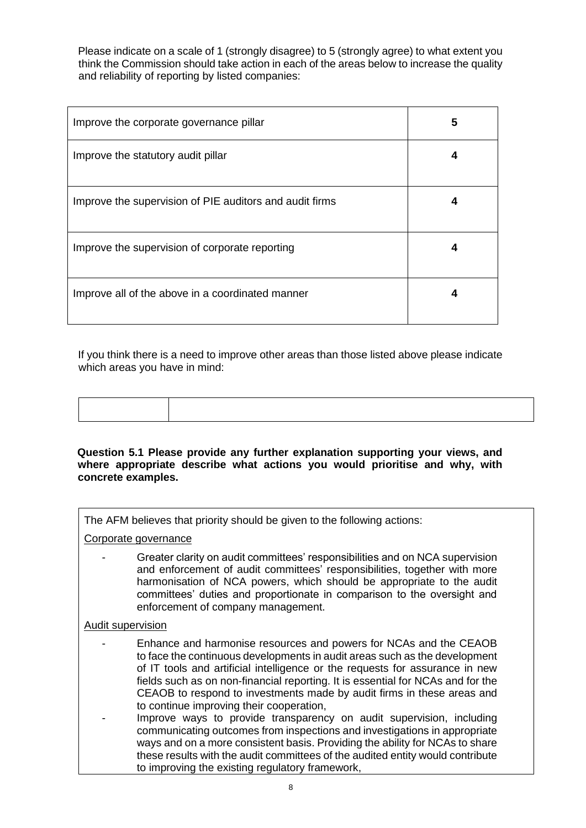Please indicate on a scale of 1 (strongly disagree) to 5 (strongly agree) to what extent you think the Commission should take action in each of the areas below to increase the quality and reliability of reporting by listed companies:

| Improve the corporate governance pillar                 | 5 |
|---------------------------------------------------------|---|
| Improve the statutory audit pillar                      | 4 |
| Improve the supervision of PIE auditors and audit firms | 4 |
| Improve the supervision of corporate reporting          |   |
| Improve all of the above in a coordinated manner        | 4 |

If you think there is a need to improve other areas than those listed above please indicate which areas you have in mind:

#### **Question 5.1 Please provide any further explanation supporting your views, and where appropriate describe what actions you would prioritise and why, with concrete examples.**

The AFM believes that priority should be given to the following actions:

Corporate governance

- Greater clarity on audit committees' responsibilities and on NCA supervision and enforcement of audit committees' responsibilities, together with more harmonisation of NCA powers, which should be appropriate to the audit committees' duties and proportionate in comparison to the oversight and enforcement of company management.

# Audit supervision

- Enhance and harmonise resources and powers for NCAs and the CEAOB to face the continuous developments in audit areas such as the development of IT tools and artificial intelligence or the requests for assurance in new fields such as on non-financial reporting. It is essential for NCAs and for the CEAOB to respond to investments made by audit firms in these areas and to continue improving their cooperation,
- Improve ways to provide transparency on audit supervision, including communicating outcomes from inspections and investigations in appropriate ways and on a more consistent basis. Providing the ability for NCAs to share these results with the audit committees of the audited entity would contribute to improving the existing regulatory framework,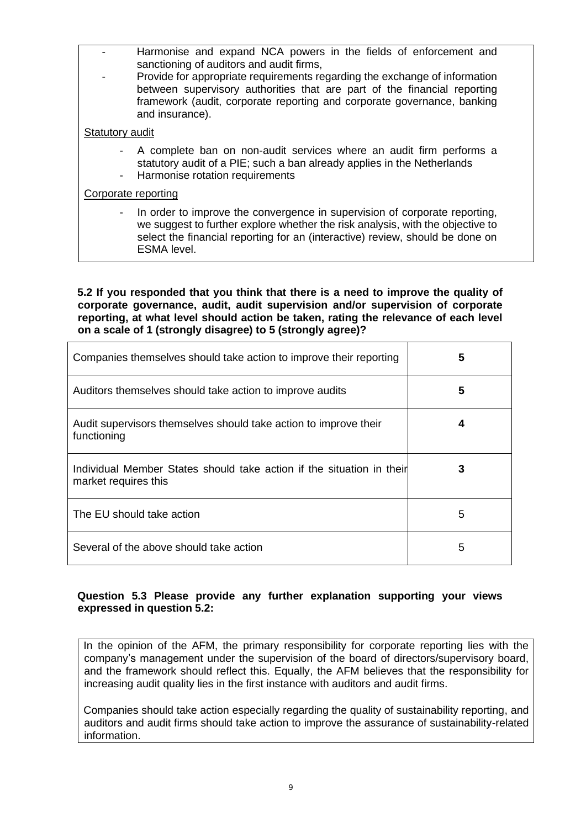- Harmonise and expand NCA powers in the fields of enforcement and sanctioning of auditors and audit firms,
- Provide for appropriate requirements regarding the exchange of information between supervisory authorities that are part of the financial reporting framework (audit, corporate reporting and corporate governance, banking and insurance).

# **Statutory audit**

- A complete ban on non-audit services where an audit firm performs a statutory audit of a PIE; such a ban already applies in the Netherlands
- Harmonise rotation requirements

# Corporate reporting

In order to improve the convergence in supervision of corporate reporting. we suggest to further explore whether the risk analysis, with the objective to select the financial reporting for an (interactive) review, should be done on ESMA level.

**5.2 If you responded that you think that there is a need to improve the quality of corporate governance, audit, audit supervision and/or supervision of corporate reporting, at what level should action be taken, rating the relevance of each level on a scale of 1 (strongly disagree) to 5 (strongly agree)?**

| Companies themselves should take action to improve their reporting                            | 5 |
|-----------------------------------------------------------------------------------------------|---|
| Auditors themselves should take action to improve audits                                      | 5 |
| Audit supervisors themselves should take action to improve their<br>functioning               |   |
| Individual Member States should take action if the situation in their<br>market requires this |   |
| The EU should take action                                                                     | 5 |
| Several of the above should take action                                                       | 5 |

# **Question 5.3 Please provide any further explanation supporting your views expressed in question 5.2:**

In the opinion of the AFM, the primary responsibility for corporate reporting lies with the company's management under the supervision of the board of directors/supervisory board, and the framework should reflect this. Equally, the AFM believes that the responsibility for increasing audit quality lies in the first instance with auditors and audit firms.

Companies should take action especially regarding the quality of sustainability reporting, and auditors and audit firms should take action to improve the assurance of sustainability-related information.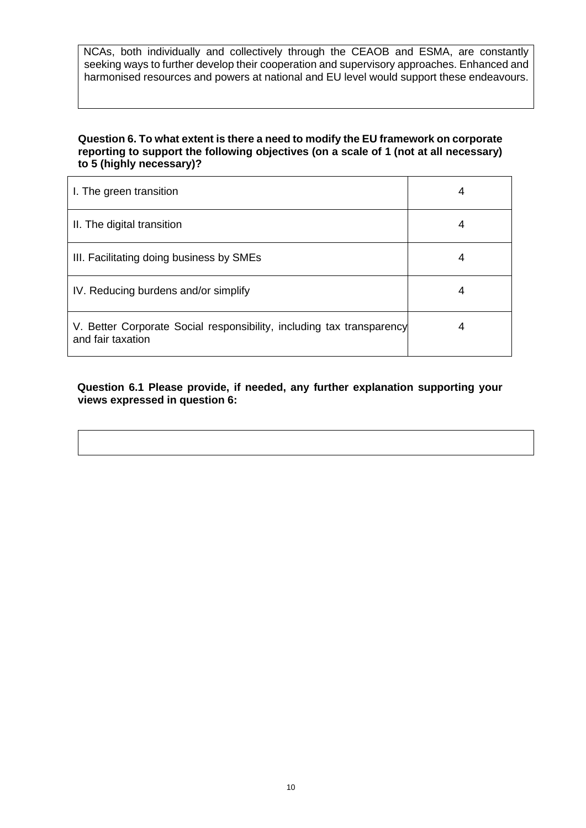NCAs, both individually and collectively through the CEAOB and ESMA, are constantly seeking ways to further develop their cooperation and supervisory approaches. Enhanced and harmonised resources and powers at national and EU level would support these endeavours.

#### **Question 6. To what extent is there a need to modify the EU framework on corporate reporting to support the following objectives (on a scale of 1 (not at all necessary) to 5 (highly necessary)?**

| I. The green transition                                                                    | 4 |
|--------------------------------------------------------------------------------------------|---|
| II. The digital transition                                                                 | 4 |
| III. Facilitating doing business by SMEs                                                   | 4 |
| IV. Reducing burdens and/or simplify                                                       | 4 |
| V. Better Corporate Social responsibility, including tax transparency<br>and fair taxation | 4 |

**Question 6.1 Please provide, if needed, any further explanation supporting your views expressed in question 6:**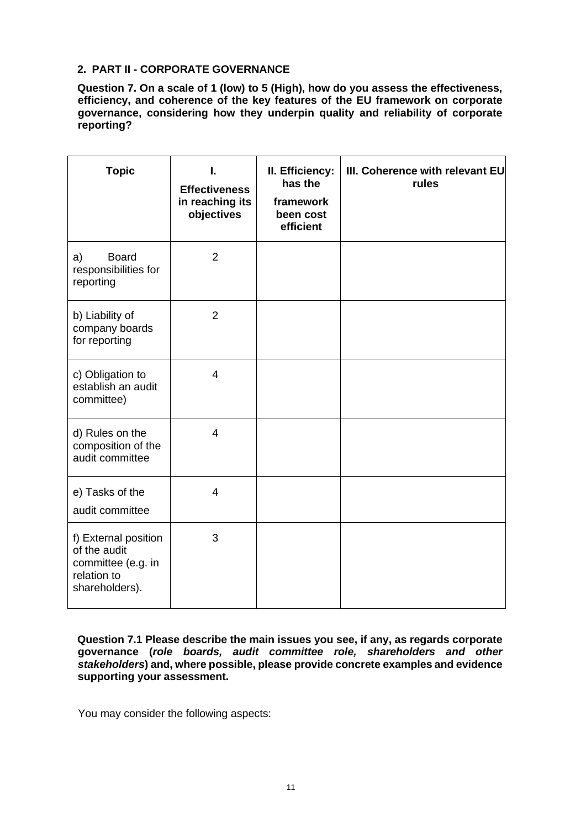# **2. PART II - CORPORATE GOVERNANCE**

**Question 7. On a scale of 1 (low) to 5 (High), how do you assess the effectiveness, efficiency, and coherence of the key features of the EU framework on corporate governance, considering how they underpin quality and reliability of corporate reporting?** 

| <b>Topic</b>                                                                                | I.<br><b>Effectiveness</b><br>in reaching its<br>objectives | II. Efficiency:<br>has the<br>framework<br>been cost<br>efficient | III. Coherence with relevant EU<br>rules |
|---------------------------------------------------------------------------------------------|-------------------------------------------------------------|-------------------------------------------------------------------|------------------------------------------|
| <b>Board</b><br>a)<br>responsibilities for<br>reporting                                     | $\overline{2}$                                              |                                                                   |                                          |
| b) Liability of<br>company boards<br>for reporting                                          | $\overline{2}$                                              |                                                                   |                                          |
| c) Obligation to<br>establish an audit<br>committee)                                        | $\overline{4}$                                              |                                                                   |                                          |
| d) Rules on the<br>composition of the<br>audit committee                                    | 4                                                           |                                                                   |                                          |
| e) Tasks of the<br>audit committee                                                          | 4                                                           |                                                                   |                                          |
| f) External position<br>of the audit<br>committee (e.g. in<br>relation to<br>shareholders). | 3                                                           |                                                                   |                                          |

**Question 7.1 Please describe the main issues you see, if any, as regards corporate governance (***role boards, audit committee role, shareholders and other stakeholders***) and, where possible, please provide concrete examples and evidence supporting your assessment.** 

You may consider the following aspects: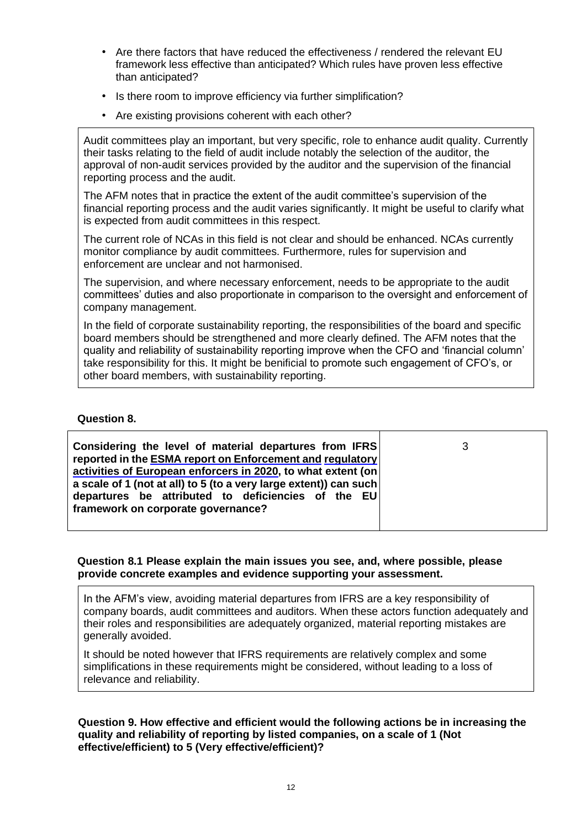- Are there factors that have reduced the effectiveness / rendered the relevant EU framework less effective than anticipated? Which rules have proven less effective than anticipated?
- Is there room to improve efficiency via further simplification?
- Are existing provisions coherent with each other?

Audit committees play an important, but very specific, role to enhance audit quality. Currently their tasks relating to the field of audit include notably the selection of the auditor, the approval of non-audit services provided by the auditor and the supervision of the financial reporting process and the audit.

The AFM notes that in practice the extent of the audit committee's supervision of the financial reporting process and the audit varies significantly. It might be useful to clarify what is expected from audit committees in this respect.

The current role of NCAs in this field is not clear and should be enhanced. NCAs currently monitor compliance by audit committees. Furthermore, rules for supervision and enforcement are unclear and not harmonised.

The supervision, and where necessary enforcement, needs to be appropriate to the audit committees' duties and also proportionate in comparison to the oversight and enforcement of company management.

In the field of corporate sustainability reporting, the responsibilities of the board and specific board members should be strengthened and more clearly defined. The AFM notes that the quality and reliability of sustainability reporting improve when the CFO and 'financial column' take responsibility for this. It might be benificial to promote such engagement of CFO's, or other board members, with sustainability reporting.

#### **Question 8.**

| Considering the level of material departures from IFRS            |  |
|-------------------------------------------------------------------|--|
| reported in the ESMA report on Enforcement and regulatory         |  |
| activities of European enforcers in 2020, to what extent (on      |  |
| a scale of 1 (not at all) to 5 (to a very large extent)) can such |  |
| departures be attributed to deficiencies of the EU                |  |
| framework on corporate governance?                                |  |
|                                                                   |  |

**Question 8.1 Please explain the main issues you see, and, where possible, please provide concrete examples and evidence supporting your assessment.** 

In the AFM's view, avoiding material departures from IFRS are a key responsibility of company boards, audit committees and auditors. When these actors function adequately and their roles and responsibilities are adequately organized, material reporting mistakes are generally avoided.

It should be noted however that IFRS requirements are relatively complex and some simplifications in these requirements might be considered, without leading to a loss of relevance and reliability.

#### **Question 9. How effective and efficient would the following actions be in increasing the quality and reliability of reporting by listed companies, on a scale of 1 (Not effective/efficient) to 5 (Very effective/efficient)?**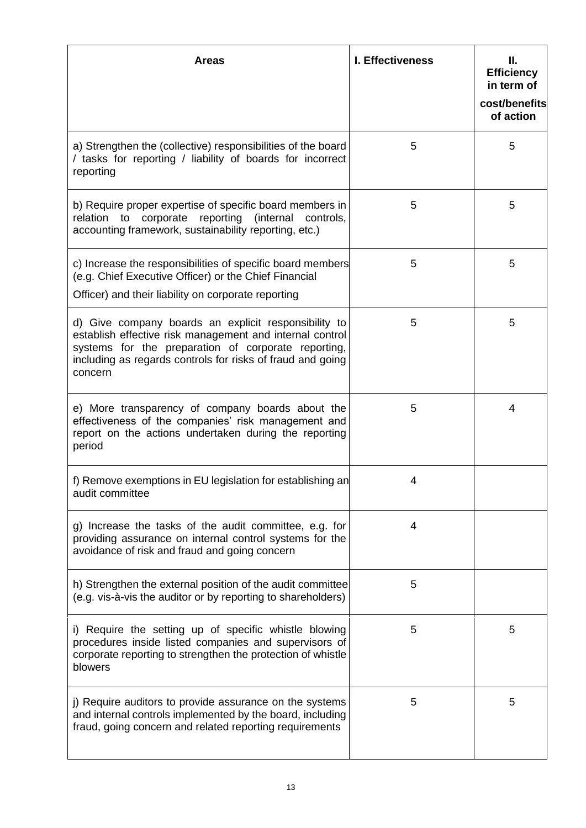| <b>Areas</b>                                                                                                                                                                                                                                     | <b>I. Effectiveness</b> | Ш.<br><b>Efficiency</b><br>in term of<br>cost/benefits<br>of action |
|--------------------------------------------------------------------------------------------------------------------------------------------------------------------------------------------------------------------------------------------------|-------------------------|---------------------------------------------------------------------|
| a) Strengthen the (collective) responsibilities of the board<br>/ tasks for reporting / liability of boards for incorrect<br>reporting                                                                                                           | 5                       | 5                                                                   |
| b) Require proper expertise of specific board members in<br>relation to corporate reporting (internal controls,<br>accounting framework, sustainability reporting, etc.)                                                                         | 5                       | 5                                                                   |
| c) Increase the responsibilities of specific board members<br>(e.g. Chief Executive Officer) or the Chief Financial<br>Officer) and their liability on corporate reporting                                                                       | 5                       | 5                                                                   |
| d) Give company boards an explicit responsibility to<br>establish effective risk management and internal control<br>systems for the preparation of corporate reporting,<br>including as regards controls for risks of fraud and going<br>concern | 5                       | 5                                                                   |
| e) More transparency of company boards about the<br>effectiveness of the companies' risk management and<br>report on the actions undertaken during the reporting<br>period                                                                       | 5                       | 4                                                                   |
| f) Remove exemptions in EU legislation for establishing an<br>audit committee                                                                                                                                                                    | 4                       |                                                                     |
| g) Increase the tasks of the audit committee, e.g. for<br>providing assurance on internal control systems for the<br>avoidance of risk and fraud and going concern                                                                               | 4                       |                                                                     |
| h) Strengthen the external position of the audit committee<br>(e.g. vis-à-vis the auditor or by reporting to shareholders)                                                                                                                       | 5                       |                                                                     |
| i) Require the setting up of specific whistle blowing<br>procedures inside listed companies and supervisors of<br>corporate reporting to strengthen the protection of whistle<br>blowers                                                         | 5                       | 5                                                                   |
| j) Require auditors to provide assurance on the systems<br>and internal controls implemented by the board, including<br>fraud, going concern and related reporting requirements                                                                  | 5                       | 5                                                                   |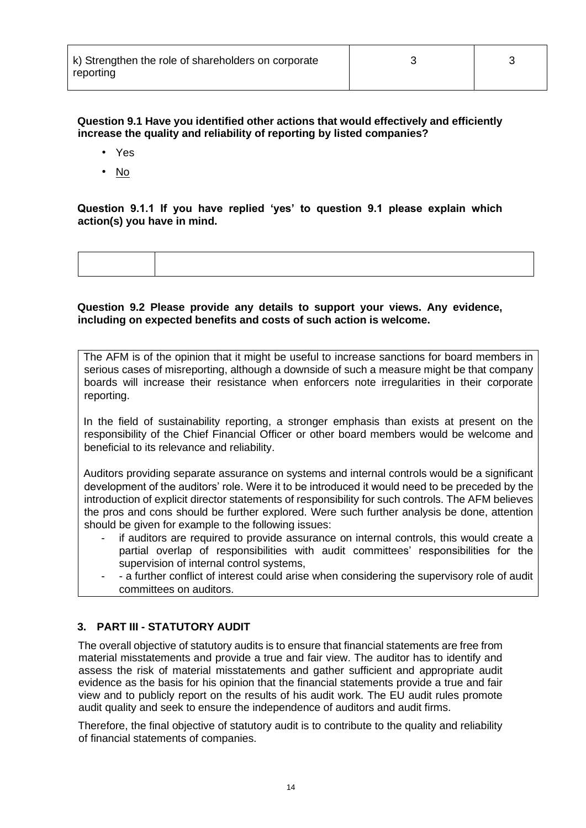| k) Strengthen the role of shareholders on corporate |  |
|-----------------------------------------------------|--|
| reporting                                           |  |

## **Question 9.1 Have you identified other actions that would effectively and efficiently increase the quality and reliability of reporting by listed companies?**

- Yes
- No

# **Question 9.1.1 If you have replied 'yes' to question 9.1 please explain which action(s) you have in mind.**

#### **Question 9.2 Please provide any details to support your views. Any evidence, including on expected benefits and costs of such action is welcome.**

The AFM is of the opinion that it might be useful to increase sanctions for board members in serious cases of misreporting, although a downside of such a measure might be that company boards will increase their resistance when enforcers note irregularities in their corporate reporting.

In the field of sustainability reporting, a stronger emphasis than exists at present on the responsibility of the Chief Financial Officer or other board members would be welcome and beneficial to its relevance and reliability.

Auditors providing separate assurance on systems and internal controls would be a significant development of the auditors' role. Were it to be introduced it would need to be preceded by the introduction of explicit director statements of responsibility for such controls. The AFM believes the pros and cons should be further explored. Were such further analysis be done, attention should be given for example to the following issues:

- if auditors are required to provide assurance on internal controls, this would create a partial overlap of responsibilities with audit committees' responsibilities for the supervision of internal control systems,
- a further conflict of interest could arise when considering the supervisory role of audit committees on auditors.

# **3. PART III - STATUTORY AUDIT**

The overall objective of statutory audits is to ensure that financial statements are free from material misstatements and provide a true and fair view. The auditor has to identify and assess the risk of material misstatements and gather sufficient and appropriate audit evidence as the basis for his opinion that the financial statements provide a true and fair view and to publicly report on the results of his audit work. The EU audit rules promote audit quality and seek to ensure the independence of auditors and audit firms.

Therefore, the final objective of statutory audit is to contribute to the quality and reliability of financial statements of companies.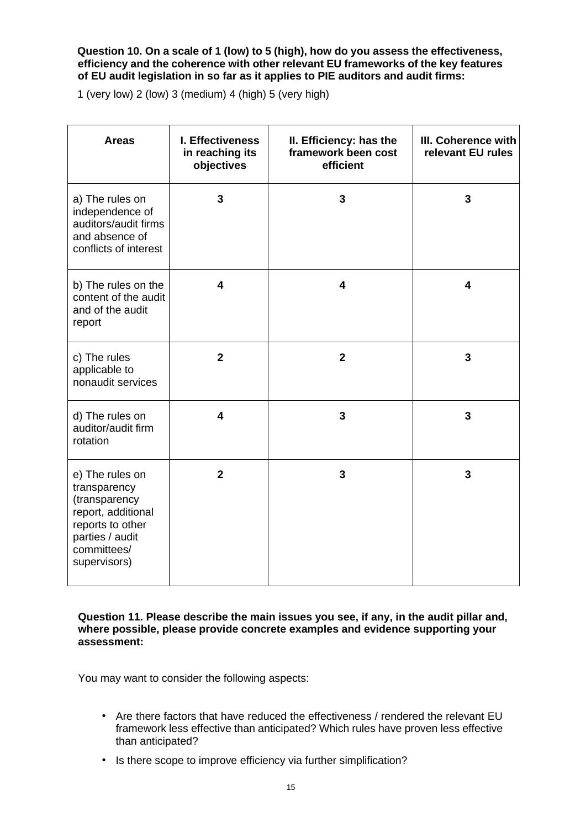#### **Question 10. On a scale of 1 (low) to 5 (high), how do you assess the effectiveness, efficiency and the coherence with other relevant EU frameworks of the key features of EU audit legislation in so far as it applies to PIE auditors and audit firms:**

1 (very low) 2 (low) 3 (medium) 4 (high) 5 (very high)

| <b>Areas</b>                                                                                                                                 | I. Effectiveness<br>in reaching its<br>objectives | II. Efficiency: has the<br>framework been cost<br>efficient | III. Coherence with<br>relevant EU rules |
|----------------------------------------------------------------------------------------------------------------------------------------------|---------------------------------------------------|-------------------------------------------------------------|------------------------------------------|
| a) The rules on<br>independence of<br>auditors/audit firms<br>and absence of<br>conflicts of interest                                        | 3                                                 | 3                                                           | 3                                        |
| b) The rules on the<br>content of the audit<br>and of the audit<br>report                                                                    | 4                                                 | 4                                                           | 4                                        |
| c) The rules<br>applicable to<br>nonaudit services                                                                                           | $\overline{2}$                                    | $\overline{2}$                                              | 3                                        |
| d) The rules on<br>auditor/audit firm<br>rotation                                                                                            | 4                                                 | 3                                                           | 3                                        |
| e) The rules on<br>transparency<br>(transparency<br>report, additional<br>reports to other<br>parties / audit<br>committees/<br>supervisors) | $\overline{2}$                                    | 3                                                           | 3                                        |

**Question 11. Please describe the main issues you see, if any, in the audit pillar and, where possible, please provide concrete examples and evidence supporting your assessment:** 

You may want to consider the following aspects:

- Are there factors that have reduced the effectiveness / rendered the relevant EU framework less effective than anticipated? Which rules have proven less effective than anticipated?
- Is there scope to improve efficiency via further simplification?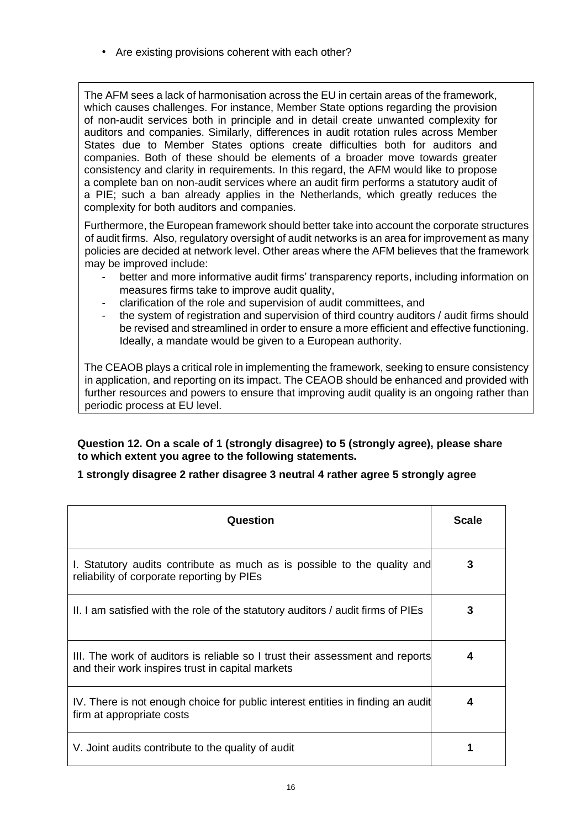• Are existing provisions coherent with each other?

The AFM sees a lack of harmonisation across the EU in certain areas of the framework, which causes challenges. For instance, Member State options regarding the provision of non-audit services both in principle and in detail create unwanted complexity for auditors and companies. Similarly, differences in audit rotation rules across Member States due to Member States options create difficulties both for auditors and companies. Both of these should be elements of a broader move towards greater consistency and clarity in requirements. In this regard, the AFM would like to propose a complete ban on non-audit services where an audit firm performs a statutory audit of a PIE; such a ban already applies in the Netherlands, which greatly reduces the complexity for both auditors and companies.

Furthermore, the European framework should better take into account the corporate structures of audit firms. Also, regulatory oversight of audit networks is an area for improvement as many policies are decided at network level. Other areas where the AFM believes that the framework may be improved include:

- better and more informative audit firms' transparency reports, including information on measures firms take to improve audit quality,
- clarification of the role and supervision of audit committees, and
- the system of registration and supervision of third country auditors / audit firms should be revised and streamlined in order to ensure a more efficient and effective functioning. Ideally, a mandate would be given to a European authority.

The CEAOB plays a critical role in implementing the framework, seeking to ensure consistency in application, and reporting on its impact. The CEAOB should be enhanced and provided with further resources and powers to ensure that improving audit quality is an ongoing rather than periodic process at EU level.

# **Question 12. On a scale of 1 (strongly disagree) to 5 (strongly agree), please share to which extent you agree to the following statements.**

# **1 strongly disagree 2 rather disagree 3 neutral 4 rather agree 5 strongly agree**

| Question                                                                                                                          | <b>Scale</b> |
|-----------------------------------------------------------------------------------------------------------------------------------|--------------|
| I. Statutory audits contribute as much as is possible to the quality and<br>reliability of corporate reporting by PIEs            | 3            |
| II. I am satisfied with the role of the statutory auditors / audit firms of PIEs                                                  | 3            |
| III. The work of auditors is reliable so I trust their assessment and reports<br>and their work inspires trust in capital markets | 4            |
| IV. There is not enough choice for public interest entities in finding an audit<br>firm at appropriate costs                      | 4            |
| V. Joint audits contribute to the quality of audit                                                                                |              |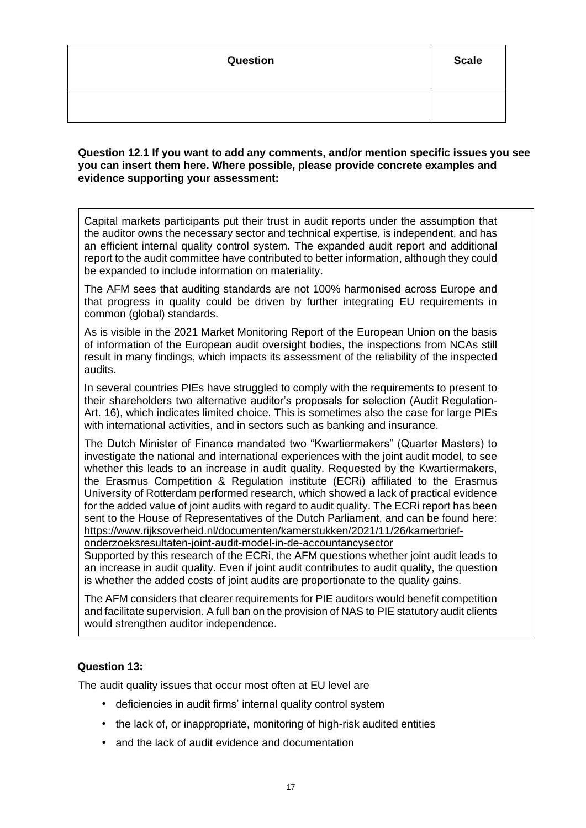| Question | <b>Scale</b> |
|----------|--------------|
|          |              |

#### **Question 12.1 If you want to add any comments, and/or mention specific issues you see you can insert them here. Where possible, please provide concrete examples and evidence supporting your assessment:**

Capital markets participants put their trust in audit reports under the assumption that the auditor owns the necessary sector and technical expertise, is independent, and has an efficient internal quality control system. The expanded audit report and additional report to the audit committee have contributed to better information, although they could be expanded to include information on materiality.

The AFM sees that auditing standards are not 100% harmonised across Europe and that progress in quality could be driven by further integrating EU requirements in common (global) standards.

As is visible in the 2021 Market Monitoring Report of the European Union on the basis of information of the European audit oversight bodies, the inspections from NCAs still result in many findings, which impacts its assessment of the reliability of the inspected audits.

In several countries PIEs have struggled to comply with the requirements to present to their shareholders two alternative auditor's proposals for selection (Audit Regulation-Art. 16), which indicates limited choice. This is sometimes also the case for large PIEs with international activities, and in sectors such as banking and insurance.

The Dutch Minister of Finance mandated two "Kwartiermakers" (Quarter Masters) to investigate the national and international experiences with the joint audit model, to see whether this leads to an increase in audit quality. Requested by the Kwartiermakers, the Erasmus Competition & Regulation institute (ECRi) affiliated to the Erasmus University of Rotterdam performed research, which showed a lack of practical evidence for the added value of joint audits with regard to audit quality. The ECRi report has been sent to the House of Representatives of the Dutch Parliament, and can be found here: [https://www.rijksoverheid.nl/documenten/kamerstukken/2021/11/26/kamerbrief-](https://www.rijksoverheid.nl/documenten/kamerstukken/2021/11/26/kamerbrief-onderzoeksresultaten-joint-audit-model-in-de-accountancysector)

[onderzoeksresultaten-joint-audit-model-in-de-accountancysector](https://www.rijksoverheid.nl/documenten/kamerstukken/2021/11/26/kamerbrief-onderzoeksresultaten-joint-audit-model-in-de-accountancysector)

Supported by this research of the ECRi, the AFM questions whether joint audit leads to an increase in audit quality. Even if joint audit contributes to audit quality, the question is whether the added costs of joint audits are proportionate to the quality gains.

The AFM considers that clearer requirements for PIE auditors would benefit competition and facilitate supervision. A full ban on the provision of NAS to PIE statutory audit clients would strengthen auditor independence.

# **Question 13:**

The audit quality issues that occur most often at EU level are

- deficiencies in audit firms' internal quality control system
- the lack of, or inappropriate, monitoring of high-risk audited entities
- and the lack of audit evidence and documentation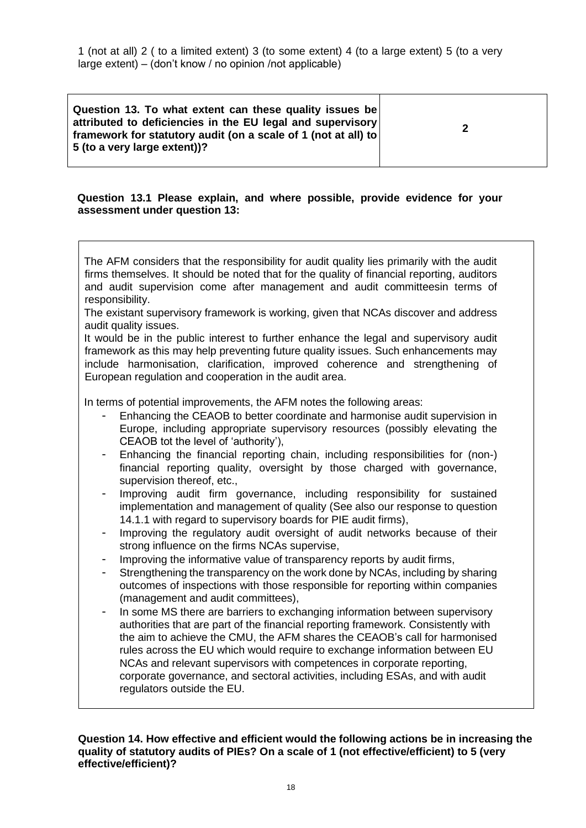1 (not at all) 2 ( to a limited extent) 3 (to some extent) 4 (to a large extent) 5 (to a very large extent) – (don't know / no opinion /not applicable)

**Question 13. To what extent can these quality issues be attributed to deficiencies in the EU legal and supervisory framework for statutory audit (on a scale of 1 (not at all) to 5 (to a very large extent))?**

**2**

# **Question 13.1 Please explain, and where possible, provide evidence for your assessment under question 13:**

The AFM considers that the responsibility for audit quality lies primarily with the audit firms themselves. It should be noted that for the quality of financial reporting, auditors and audit supervision come after management and audit committeesin terms of responsibility.

The existant supervisory framework is working, given that NCAs discover and address audit quality issues.

It would be in the public interest to further enhance the legal and supervisory audit framework as this may help preventing future quality issues. Such enhancements may include harmonisation, clarification, improved coherence and strengthening of European regulation and cooperation in the audit area.

In terms of potential improvements, the AFM notes the following areas:

- Enhancing the CEAOB to better coordinate and harmonise audit supervision in Europe, including appropriate supervisory resources (possibly elevating the CEAOB tot the level of 'authority'),
- Enhancing the financial reporting chain, including responsibilities for (non-) financial reporting quality, oversight by those charged with governance, supervision thereof, etc.,
- Improving audit firm governance, including responsibility for sustained implementation and management of quality (See also our response to question 14.1.1 with regard to supervisory boards for PIE audit firms),
- Improving the regulatory audit oversight of audit networks because of their strong influence on the firms NCAs supervise,
- Improving the informative value of transparency reports by audit firms,
- Strengthening the transparency on the work done by NCAs, including by sharing outcomes of inspections with those responsible for reporting within companies (management and audit committees),
- In some MS there are barriers to exchanging information between supervisory authorities that are part of the financial reporting framework. Consistently with the aim to achieve the CMU, the AFM shares the CEAOB's call for harmonised rules across the EU which would require to exchange information between EU NCAs and relevant supervisors with competences in corporate reporting, corporate governance, and sectoral activities, including ESAs, and with audit regulators outside the EU.

**Question 14. How effective and efficient would the following actions be in increasing the quality of statutory audits of PIEs? On a scale of 1 (not effective/efficient) to 5 (very effective/efficient)?**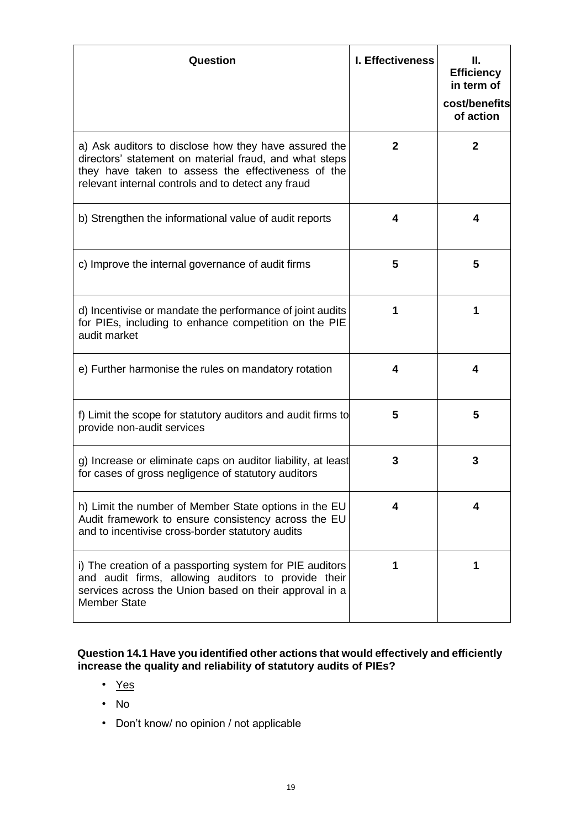| Question                                                                                                                                                                                                                    | I. Effectiveness | Н.<br><b>Efficiency</b><br>in term of<br>cost/benefits<br>of action |
|-----------------------------------------------------------------------------------------------------------------------------------------------------------------------------------------------------------------------------|------------------|---------------------------------------------------------------------|
| a) Ask auditors to disclose how they have assured the<br>directors' statement on material fraud, and what steps<br>they have taken to assess the effectiveness of the<br>relevant internal controls and to detect any fraud | $\mathbf{2}$     | $\mathbf{2}$                                                        |
| b) Strengthen the informational value of audit reports                                                                                                                                                                      | 4                | 4                                                                   |
| c) Improve the internal governance of audit firms                                                                                                                                                                           | 5                | 5                                                                   |
| d) Incentivise or mandate the performance of joint audits<br>for PIEs, including to enhance competition on the PIE<br>audit market                                                                                          |                  | 1                                                                   |
| e) Further harmonise the rules on mandatory rotation                                                                                                                                                                        | 4                | 4                                                                   |
| f) Limit the scope for statutory auditors and audit firms to<br>provide non-audit services                                                                                                                                  | 5                | 5                                                                   |
| g) Increase or eliminate caps on auditor liability, at least<br>for cases of gross negligence of statutory auditors                                                                                                         | 3                | 3                                                                   |
| h) Limit the number of Member State options in the EU<br>Audit framework to ensure consistency across the EU<br>and to incentivise cross-border statutory audits                                                            | 4                | 4                                                                   |
| i) The creation of a passporting system for PIE auditors<br>and audit firms, allowing auditors to provide their<br>services across the Union based on their approval in a<br><b>Member State</b>                            |                  | 1                                                                   |

# **Question 14.1 Have you identified other actions that would effectively and efficiently increase the quality and reliability of statutory audits of PIEs?**

- Yes
- No
- Don't know/ no opinion / not applicable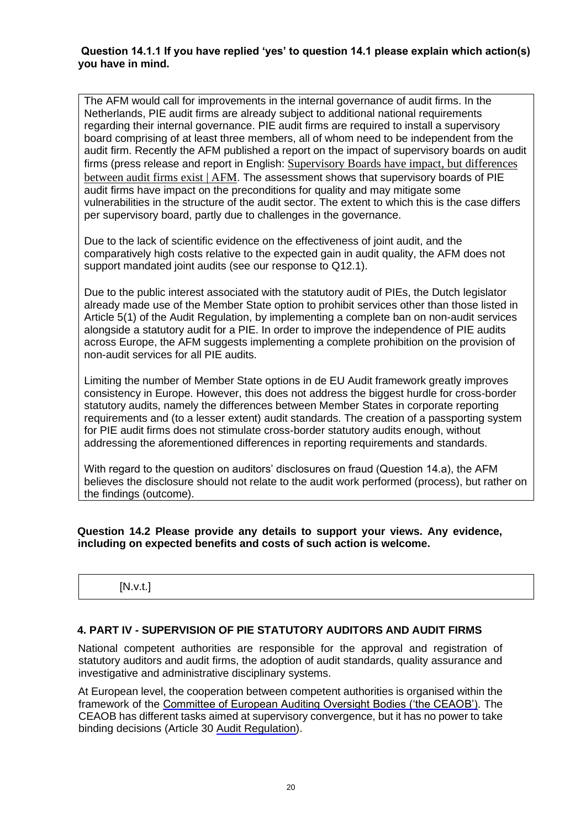#### **Question 14.1.1 If you have replied 'yes' to question 14.1 please explain which action(s) you have in mind.**

The AFM would call for improvements in the internal governance of audit firms. In the Netherlands, PIE audit firms are already subject to additional national requirements regarding their internal governance. PIE audit firms are required to install a supervisory board comprising of at least three members, all of whom need to be independent from the audit firm. Recently the AFM published a report on the impact of supervisory boards on audit firms (press release and report in English: [Supervisory Boards have impact, but differences](https://www.afm.nl/en/nieuws/2021/oktober/onderzoek-impact-rvcs-oob-accountantsorganisaties)  between audit [firms exist | AFM](https://www.afm.nl/en/nieuws/2021/oktober/onderzoek-impact-rvcs-oob-accountantsorganisaties). The assessment shows that supervisory boards of PIE audit firms have impact on the preconditions for quality and may mitigate some vulnerabilities in the structure of the audit sector. The extent to which this is the case differs per supervisory board, partly due to challenges in the governance.

Due to the lack of scientific evidence on the effectiveness of joint audit, and the comparatively high costs relative to the expected gain in audit quality, the AFM does not support mandated joint audits (see our response to Q12.1).

Due to the public interest associated with the statutory audit of PIEs, the Dutch legislator already made use of the Member State option to prohibit services other than those listed in Article 5(1) of the Audit Regulation, by implementing a complete ban on non-audit services alongside a statutory audit for a PIE. In order to improve the independence of PIE audits across Europe, the AFM suggests implementing a complete prohibition on the provision of non-audit services for all PIE audits.

Limiting the number of Member State options in de EU Audit framework greatly improves consistency in Europe. However, this does not address the biggest hurdle for cross-border statutory audits, namely the differences between Member States in corporate reporting requirements and (to a lesser extent) audit standards. The creation of a passporting system for PIE audit firms does not stimulate cross-border statutory audits enough, without addressing the aforementioned differences in reporting requirements and standards.

With regard to the question on auditors' disclosures on fraud (Question 14.a), the AFM believes the disclosure should not relate to the audit work performed (process), but rather on the findings (outcome).

#### **Question 14.2 Please provide any details to support your views. Any evidence, including on expected benefits and costs of such action is welcome.**

# [N.v.t.]

# **4. PART IV - SUPERVISION OF PIE STATUTORY AUDITORS AND AUDIT FIRMS**

National competent authorities are responsible for the approval and registration of statutory auditors and audit firms, the adoption of audit standards, quality assurance and investigative and administrative disciplinary systems.

At European level, the cooperation between competent authorities is organised within the framework of the [Committee of European Auditing Oversight Bodies \('the CEAOB'\).](https://ec.europa.eu/info/ceaob) The CEAOB has different tasks aimed at supervisory convergence, but it has no power to take binding decisions (Article 30 [Audit](https://eur-lex.europa.eu/legal-content/EN/TXT/?uri=CELEX:32014R0537) [Regulation\).](https://eur-lex.europa.eu/legal-content/EN/TXT/?uri=CELEX:32014R0537)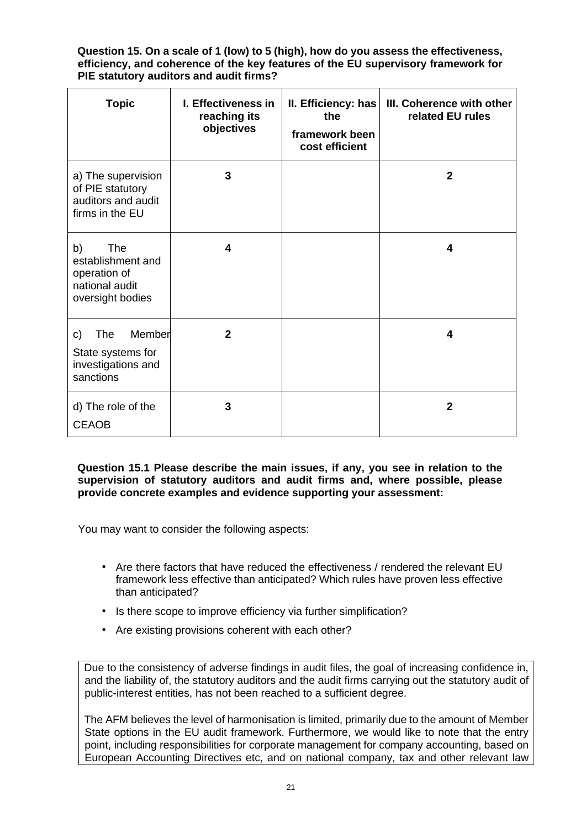**Question 15. On a scale of 1 (low) to 5 (high), how do you assess the effectiveness, efficiency, and coherence of the key features of the EU supervisory framework for PIE statutory auditors and audit firms?** 

| <b>Topic</b>                                                                                | I. Effectiveness in<br>reaching its<br>objectives | II. Efficiency: has<br>the<br>framework been<br>cost efficient | III. Coherence with other<br>related EU rules |
|---------------------------------------------------------------------------------------------|---------------------------------------------------|----------------------------------------------------------------|-----------------------------------------------|
| a) The supervision<br>of PIE statutory<br>auditors and audit<br>firms in the EU             | 3                                                 |                                                                | $\mathbf{2}$                                  |
| <b>The</b><br>b)<br>establishment and<br>operation of<br>national audit<br>oversight bodies | 4                                                 |                                                                | 4                                             |
| Member<br>The<br>C)<br>State systems for<br>investigations and<br>sanctions                 | $\mathbf{2}$                                      |                                                                | 4                                             |
| d) The role of the<br><b>CEAOB</b>                                                          | 3                                                 |                                                                | $\overline{2}$                                |

**Question 15.1 Please describe the main issues, if any, you see in relation to the supervision of statutory auditors and audit firms and, where possible, please provide concrete examples and evidence supporting your assessment:** 

You may want to consider the following aspects:

- Are there factors that have reduced the effectiveness / rendered the relevant EU framework less effective than anticipated? Which rules have proven less effective than anticipated?
- Is there scope to improve efficiency via further simplification?
- Are existing provisions coherent with each other?

Due to the consistency of adverse findings in audit files, the goal of increasing confidence in, and the liability of, the statutory auditors and the audit firms carrying out the statutory audit of public-interest entities, has not been reached to a sufficient degree.

The AFM believes the level of harmonisation is limited, primarily due to the amount of Member State options in the EU audit framework. Furthermore, we would like to note that the entry point, including responsibilities for corporate management for company accounting, based on European Accounting Directives etc, and on national company, tax and other relevant law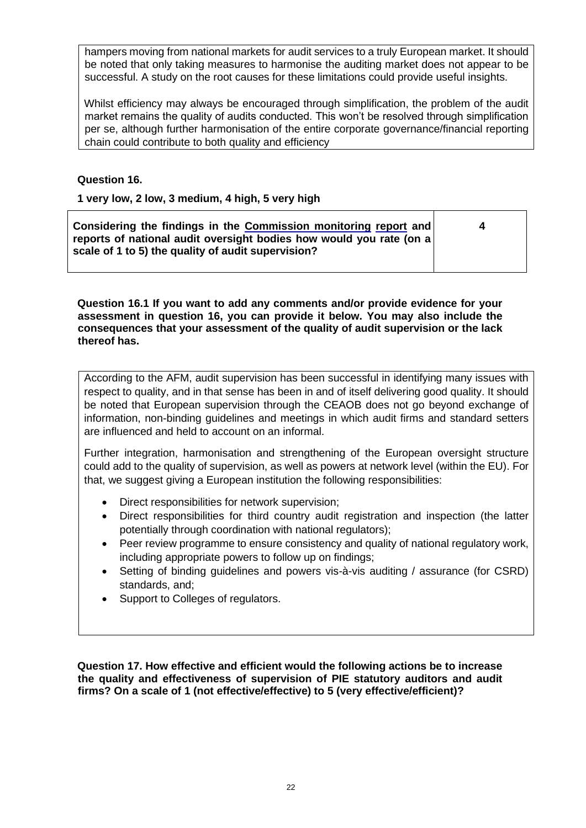hampers moving from national markets for audit services to a truly European market. It should be noted that only taking measures to harmonise the auditing market does not appear to be successful. A study on the root causes for these limitations could provide useful insights.

Whilst efficiency may always be encouraged through simplification, the problem of the audit market remains the quality of audits conducted. This won't be resolved through simplification per se, although further harmonisation of the entire corporate governance/financial reporting chain could contribute to both quality and efficiency

# **Question 16.**

**1 very low, 2 low, 3 medium, 4 high, 5 very high**

| reports of national audit oversight bodies how would you rate (on a<br>scale of 1 to 5) the quality of audit supervision? | Considering the findings in the Commission monitoring report and |  |
|---------------------------------------------------------------------------------------------------------------------------|------------------------------------------------------------------|--|
|---------------------------------------------------------------------------------------------------------------------------|------------------------------------------------------------------|--|

**Question 16.1 If you want to add any comments and/or provide evidence for your assessment in question 16, you can provide it below. You may also include the consequences that your assessment of the quality of audit supervision or the lack thereof has.** 

According to the AFM, audit supervision has been successful in identifying many issues with respect to quality, and in that sense has been in and of itself delivering good quality. It should be noted that European supervision through the CEAOB does not go beyond exchange of information, non-binding guidelines and meetings in which audit firms and standard setters are influenced and held to account on an informal.

Further integration, harmonisation and strengthening of the European oversight structure could add to the quality of supervision, as well as powers at network level (within the EU). For that, we suggest giving a European institution the following responsibilities:

- Direct responsibilities for network supervision;
- Direct responsibilities for third country audit registration and inspection (the latter potentially through coordination with national regulators);
- Peer review programme to ensure consistency and quality of national regulatory work, including appropriate powers to follow up on findings;
- Setting of binding guidelines and powers vis-à-vis auditing / assurance (for CSRD) standards, and;
- Support to Colleges of regulators.

**Question 17. How effective and efficient would the following actions be to increase the quality and effectiveness of supervision of PIE statutory auditors and audit firms? On a scale of 1 (not effective/effective) to 5 (very effective/efficient)?**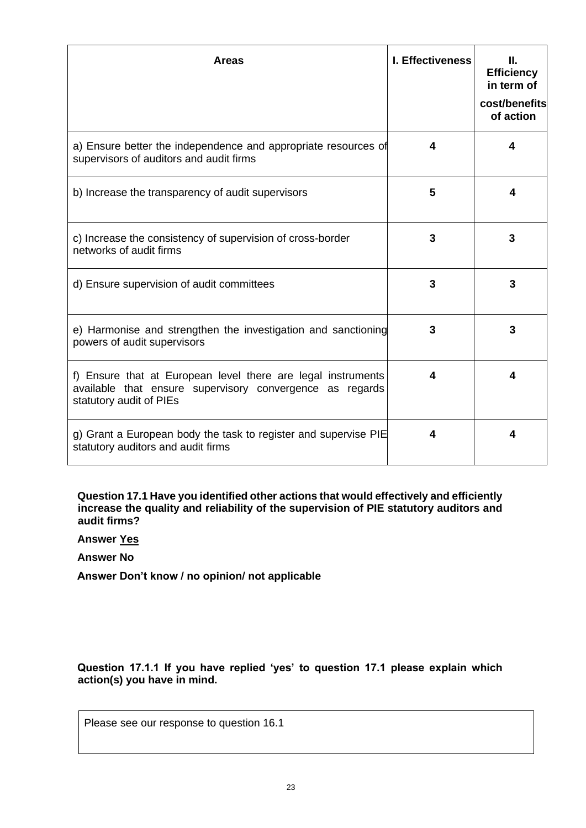| <b>Areas</b>                                                                                                                                        | <b>I. Effectiveness</b> | Ш.<br><b>Efficiency</b><br>in term of<br>cost/benefits<br>of action |
|-----------------------------------------------------------------------------------------------------------------------------------------------------|-------------------------|---------------------------------------------------------------------|
| a) Ensure better the independence and appropriate resources of<br>supervisors of auditors and audit firms                                           | 4                       | 4                                                                   |
| b) Increase the transparency of audit supervisors                                                                                                   | 5                       | 4                                                                   |
| c) Increase the consistency of supervision of cross-border<br>networks of audit firms                                                               | 3                       | 3                                                                   |
| d) Ensure supervision of audit committees                                                                                                           | 3                       | 3                                                                   |
| e) Harmonise and strengthen the investigation and sanctioning<br>powers of audit supervisors                                                        | 3                       | 3                                                                   |
| f) Ensure that at European level there are legal instruments<br>available that ensure supervisory convergence as regards<br>statutory audit of PIEs | 4                       | 4                                                                   |
| g) Grant a European body the task to register and supervise PIE<br>statutory auditors and audit firms                                               |                         | 4                                                                   |

**Question 17.1 Have you identified other actions that would effectively and efficiently increase the quality and reliability of the supervision of PIE statutory auditors and audit firms?** 

**Answer Yes**

**Answer No**

**Answer Don't know / no opinion/ not applicable**

**Question 17.1.1 If you have replied 'yes' to question 17.1 please explain which action(s) you have in mind.** 

Please see our response to question 16.1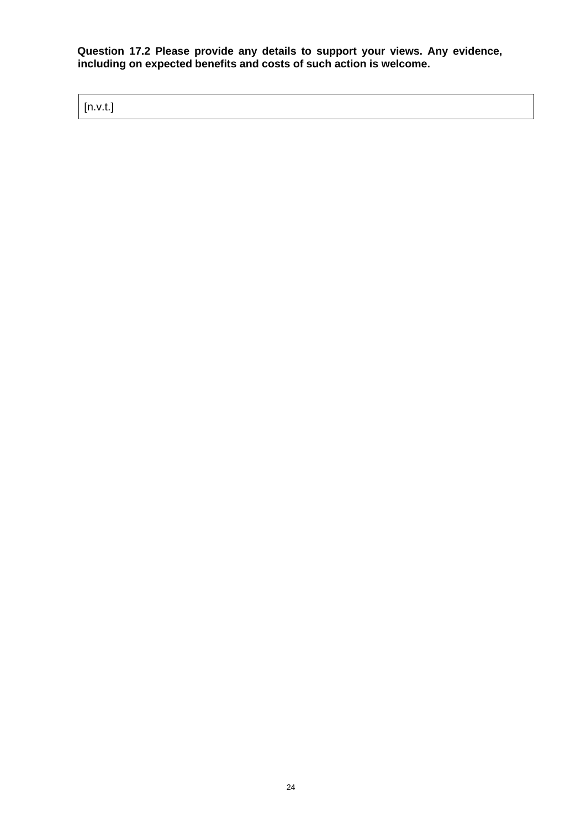**Question 17.2 Please provide any details to support your views. Any evidence, including on expected benefits and costs of such action is welcome.** 

[n.v.t.]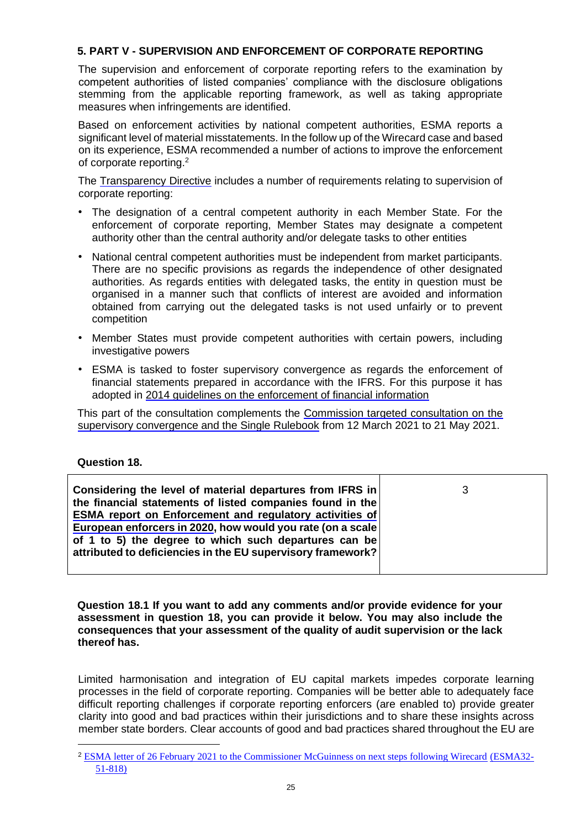# **5. PART V - SUPERVISION AND ENFORCEMENT OF CORPORATE REPORTING**

The supervision and enforcement of corporate reporting refers to the examination by competent authorities of listed companies' compliance with the disclosure obligations stemming from the applicable reporting framework, as well as taking appropriate measures when infringements are identified.

Based on enforcement activities by national competent authorities, ESMA reports a significant level of material misstatements. In the follow up of the Wirecard case and based on its experience, ESMA recommended a number of actions to improve the enforcement of corporate reporting.<sup>2</sup>

The [Transparency Directive](https://eur-lex.europa.eu/legal-content/EN/TXT/?uri=CELEX:32004L0109) includes a number of requirements relating to supervision of corporate reporting:

- The designation of a central competent authority in each Member State. For the enforcement of corporate reporting, Member States may designate a competent authority other than the central authority and/or delegate tasks to other entities
- National central competent authorities must be independent from market participants. There are no specific provisions as regards the independence of other designated authorities. As regards entities with delegated tasks, the entity in question must be organised in a manner such that conflicts of interest are avoided and information obtained from carrying out the delegated tasks is not used unfairly or to prevent competition
- Member States must provide competent authorities with certain powers, including investigative powers
- ESMA is tasked to foster supervisory convergence as regards the enforcement of financial statements prepared in accordance with the IFRS. For this purpose it has adopted in 2014 guidelines on the enforcement of financial information

This part of the consultation complements the [Commission targeted consultation on the](https://ec.europa.eu/info/publications/finance-consultations-2021-esas-review_en) [supervisory convergence and the Single Rulebook](https://ec.europa.eu/info/publications/finance-consultations-2021-esas-review_en) [f](https://ec.europa.eu/info/publications/finance-consultations-2021-esas-review_en)rom 12 March 2021 to 21 May 2021.

# **Question 18.**

| Considering the level of material departures from IFRS in<br>the financial statements of listed companies found in the<br><b>ESMA</b> report on Enforcement and regulatory activities of | 3 |
|------------------------------------------------------------------------------------------------------------------------------------------------------------------------------------------|---|
| European enforcers in 2020, how would you rate (on a scale<br>of 1 to 5) the degree to which such departures can be<br>attributed to deficiencies in the EU supervisory framework?       |   |

**Question 18.1 If you want to add any comments and/or provide evidence for your assessment in question 18, you can provide it below. You may also include the consequences that your assessment of the quality of audit supervision or the lack thereof has.** 

Limited harmonisation and integration of EU capital markets impedes corporate learning processes in the field of corporate reporting. Companies will be better able to adequately face difficult reporting challenges if corporate reporting enforcers (are enabled to) provide greater clarity into good and bad practices within their jurisdictions and to share these insights across member state borders. Clear accounts of good and bad practices shared throughout the EU are

<sup>&</sup>lt;sup>2</sup> [ESMA letter of 26 February 2021 to the Commissioner McGuinness on next steps following Wirecard](https://www.esma.europa.eu/sites/default/files/library/esma32-51-818_letter_to_the_ec_on_next_steps_following_wirecard.pdf) [\(ESMA32-](https://www.esma.europa.eu/sites/default/files/library/esma32-51-818_letter_to_the_ec_on_next_steps_following_wirecard.pdf) [51-818\)](https://www.esma.europa.eu/sites/default/files/library/esma32-51-818_letter_to_the_ec_on_next_steps_following_wirecard.pdf)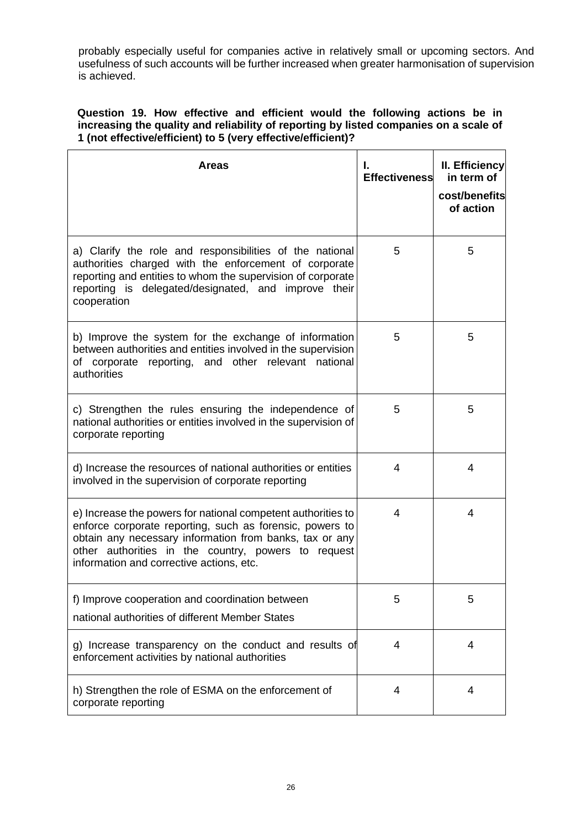probably especially useful for companies active in relatively small or upcoming sectors. And usefulness of such accounts will be further increased when greater harmonisation of supervision is achieved.

# **Question 19. How effective and efficient would the following actions be in increasing the quality and reliability of reporting by listed companies on a scale of 1 (not effective/efficient) to 5 (very effective/efficient)?**

| <b>Areas</b>                                                                                                                                                                                                                                                                           | ı.<br><b>Effectiveness</b> | II. Efficiency<br>in term of<br>cost/benefits<br>of action |
|----------------------------------------------------------------------------------------------------------------------------------------------------------------------------------------------------------------------------------------------------------------------------------------|----------------------------|------------------------------------------------------------|
| a) Clarify the role and responsibilities of the national<br>authorities charged with the enforcement of corporate<br>reporting and entities to whom the supervision of corporate<br>reporting is delegated/designated, and improve their<br>cooperation                                | 5                          | 5                                                          |
| b) Improve the system for the exchange of information<br>between authorities and entities involved in the supervision<br>of corporate reporting, and other relevant national<br>authorities                                                                                            | 5                          | 5                                                          |
| c) Strengthen the rules ensuring the independence of<br>national authorities or entities involved in the supervision of<br>corporate reporting                                                                                                                                         | 5                          | 5                                                          |
| d) Increase the resources of national authorities or entities<br>involved in the supervision of corporate reporting                                                                                                                                                                    | 4                          | 4                                                          |
| e) Increase the powers for national competent authorities to<br>enforce corporate reporting, such as forensic, powers to<br>obtain any necessary information from banks, tax or any<br>other authorities in the country, powers to request<br>information and corrective actions, etc. | 4                          | 4                                                          |
| f) Improve cooperation and coordination between<br>national authorities of different Member States                                                                                                                                                                                     | 5                          | 5                                                          |
| g) Increase transparency on the conduct and results of<br>enforcement activities by national authorities                                                                                                                                                                               | 4                          | 4                                                          |
| h) Strengthen the role of ESMA on the enforcement of<br>corporate reporting                                                                                                                                                                                                            | 4                          | 4                                                          |